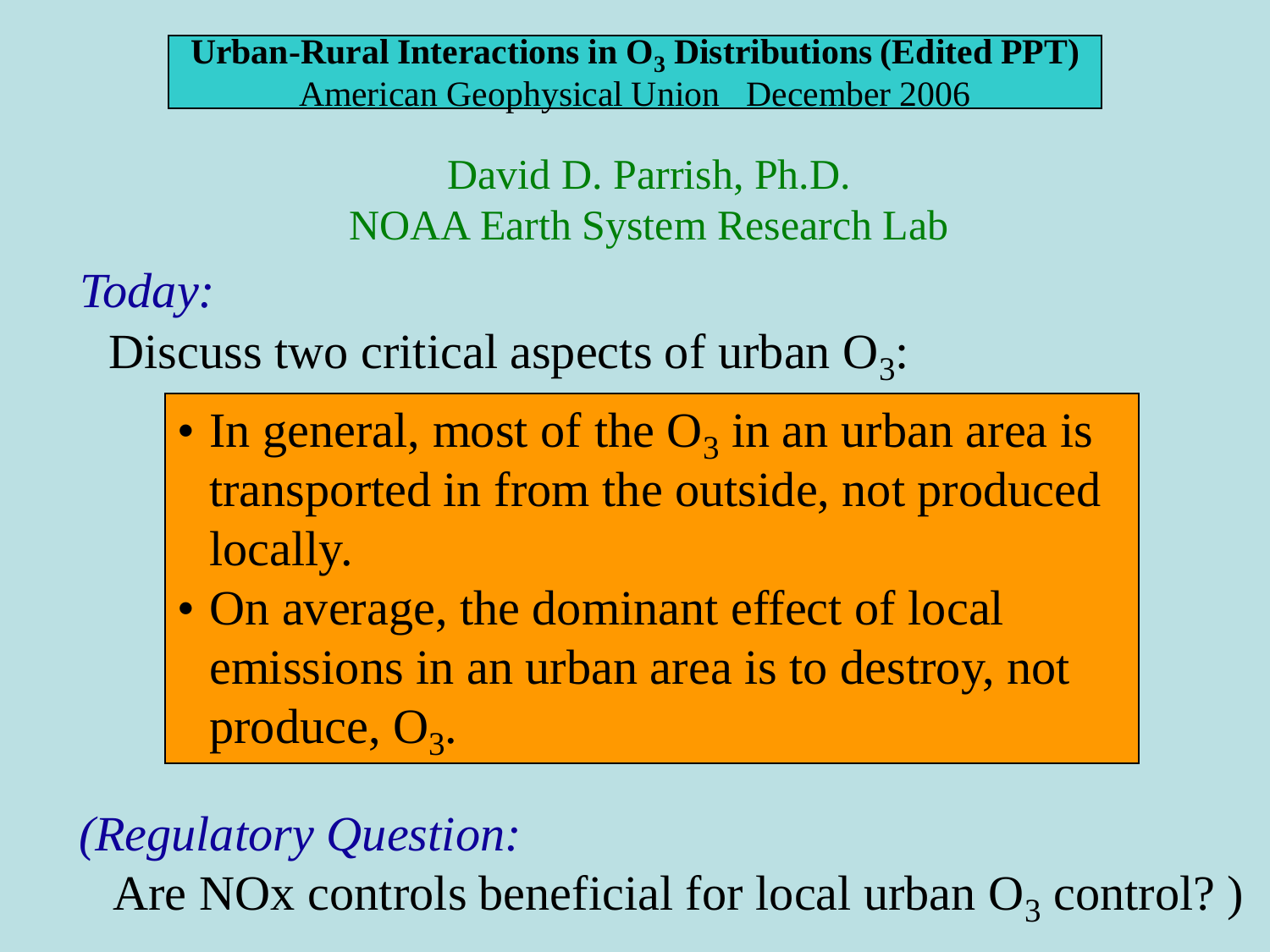**Urban-Rural Interactions in O<sup>3</sup> Distributions (Edited PPT)** American Geophysical Union December 2006

> David D. Parrish, Ph.D. NOAA Earth System Research Lab

*Today:*

Discuss two critical aspects of urban  $O_3$ :

- In general, most of the  $O_3$  in an urban area is transported in from the outside, not produced locally.
- On average, the dominant effect of local emissions in an urban area is to destroy, not produce, O<sub>3</sub>.

#### *(Regulatory Question:*

Are NO<sub>x</sub> controls beneficial for local urban  $O_3$  control?)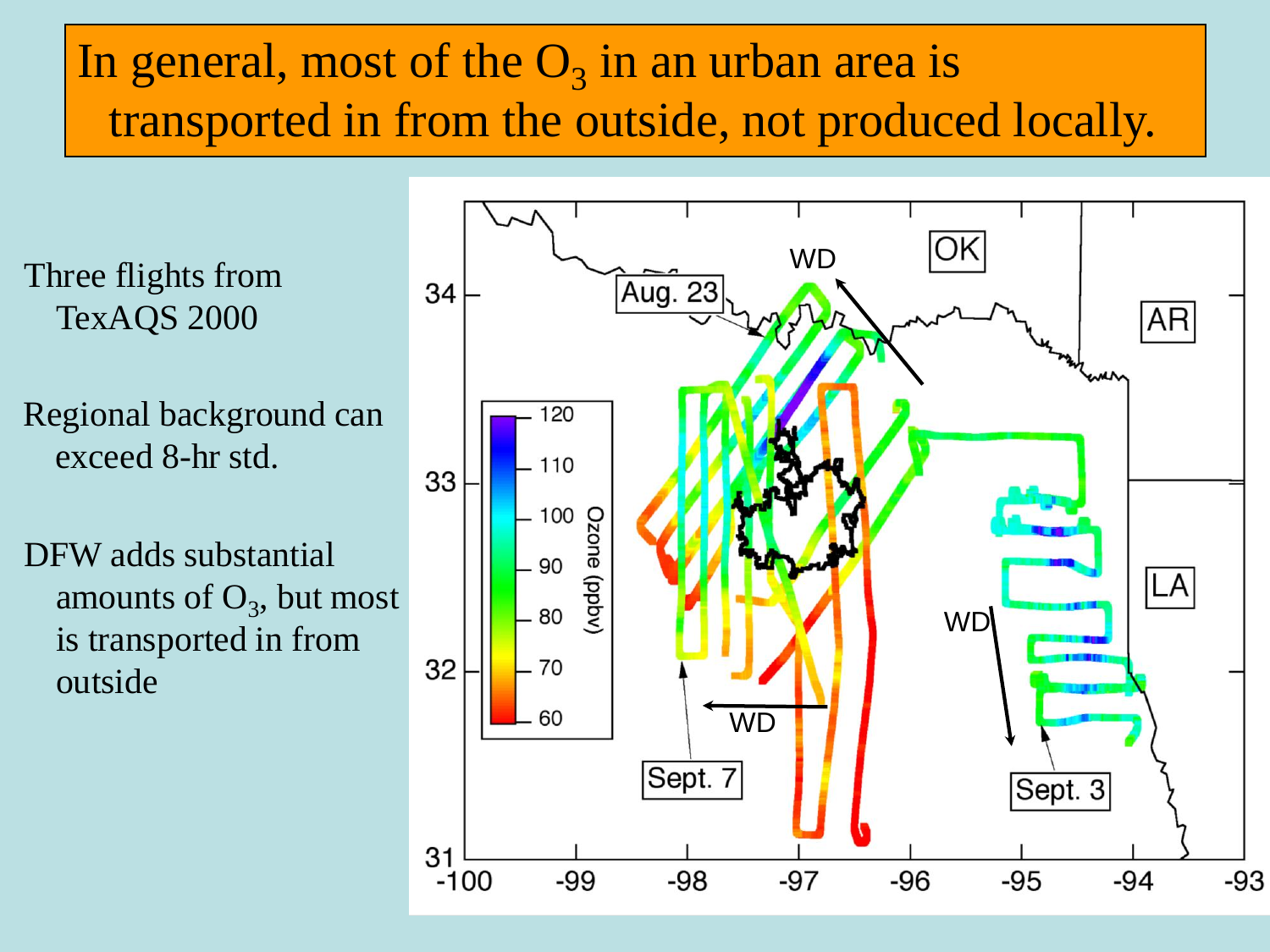### In general, most of the  $O_3$  in an urban area is transported in from the outside, not produced locally.

Three flights from TexAQS 2000

Regional background can exceed 8-hr std.

DFW adds substantial amounts of  $O_3$ , but most is transported in from outside

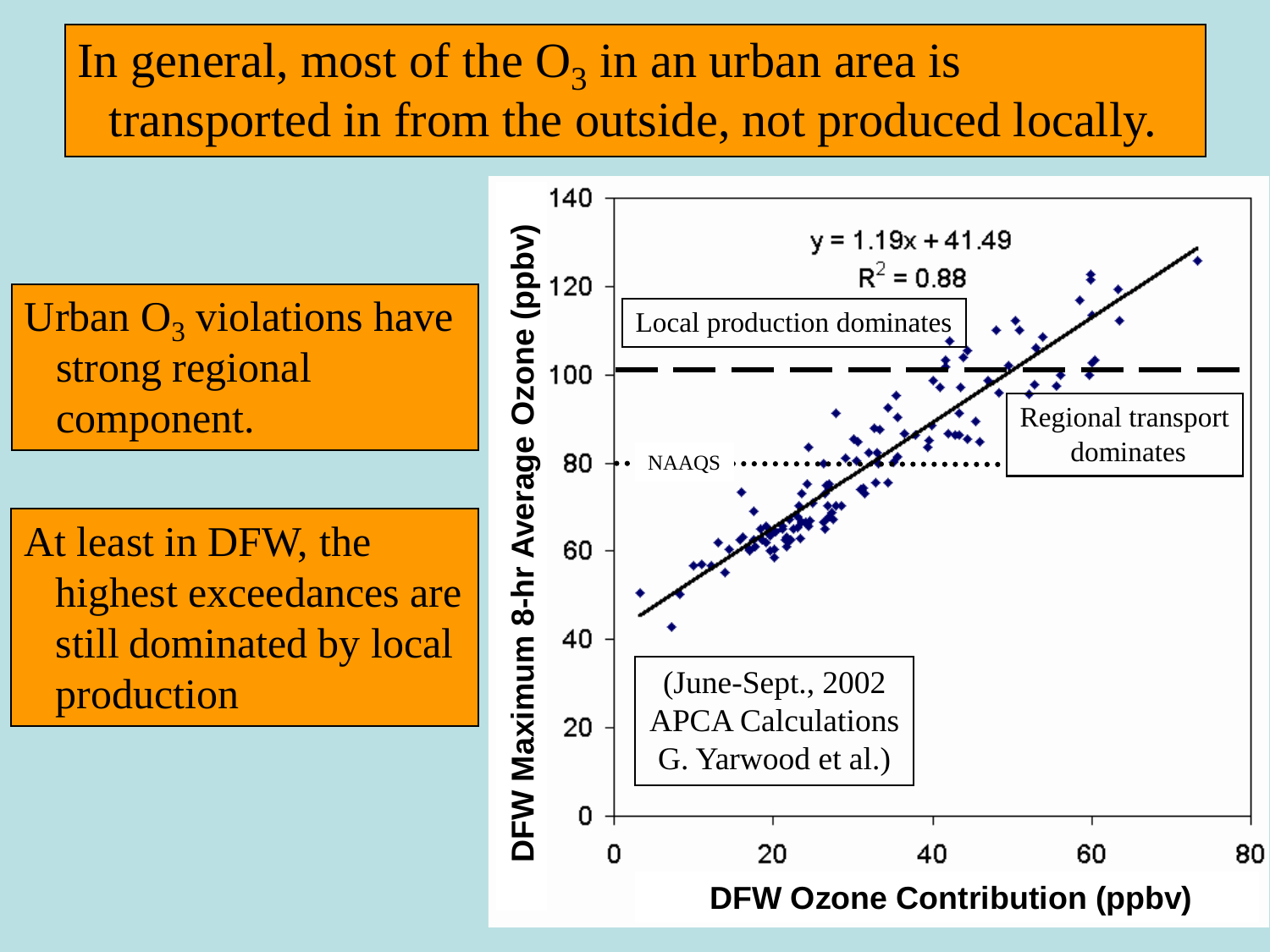### In general, most of the  $O_3$  in an urban area is transported in from the outside, not produced locally.

strong regional component.

At least in DFW, the highest exceedances are still dominated by local

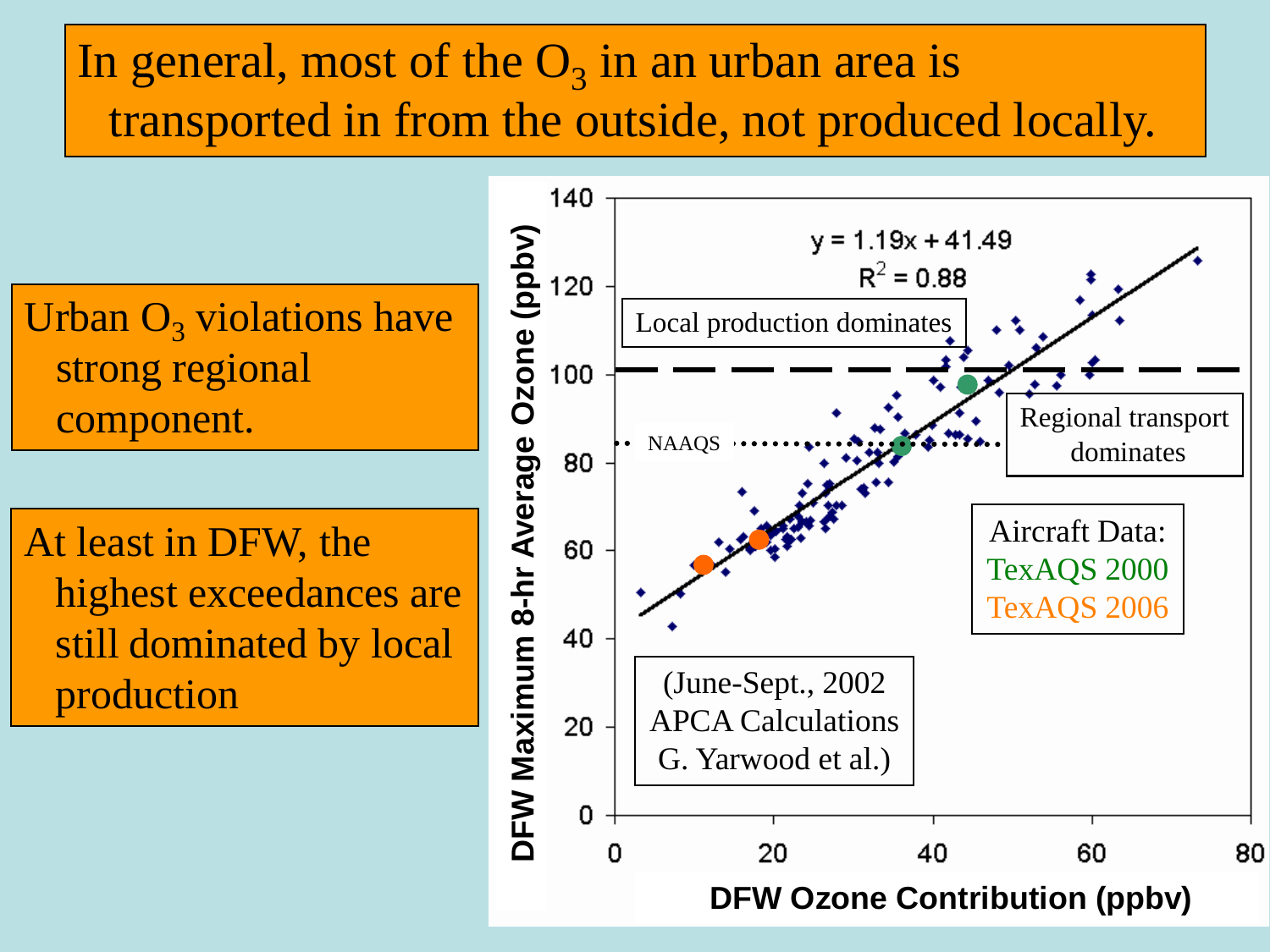### In general, most of the  $O_3$  in an urban area is transported in from the outside, not produced locally.

strong regional component.

At least in DFW, the highest exceedances are still dominated by local

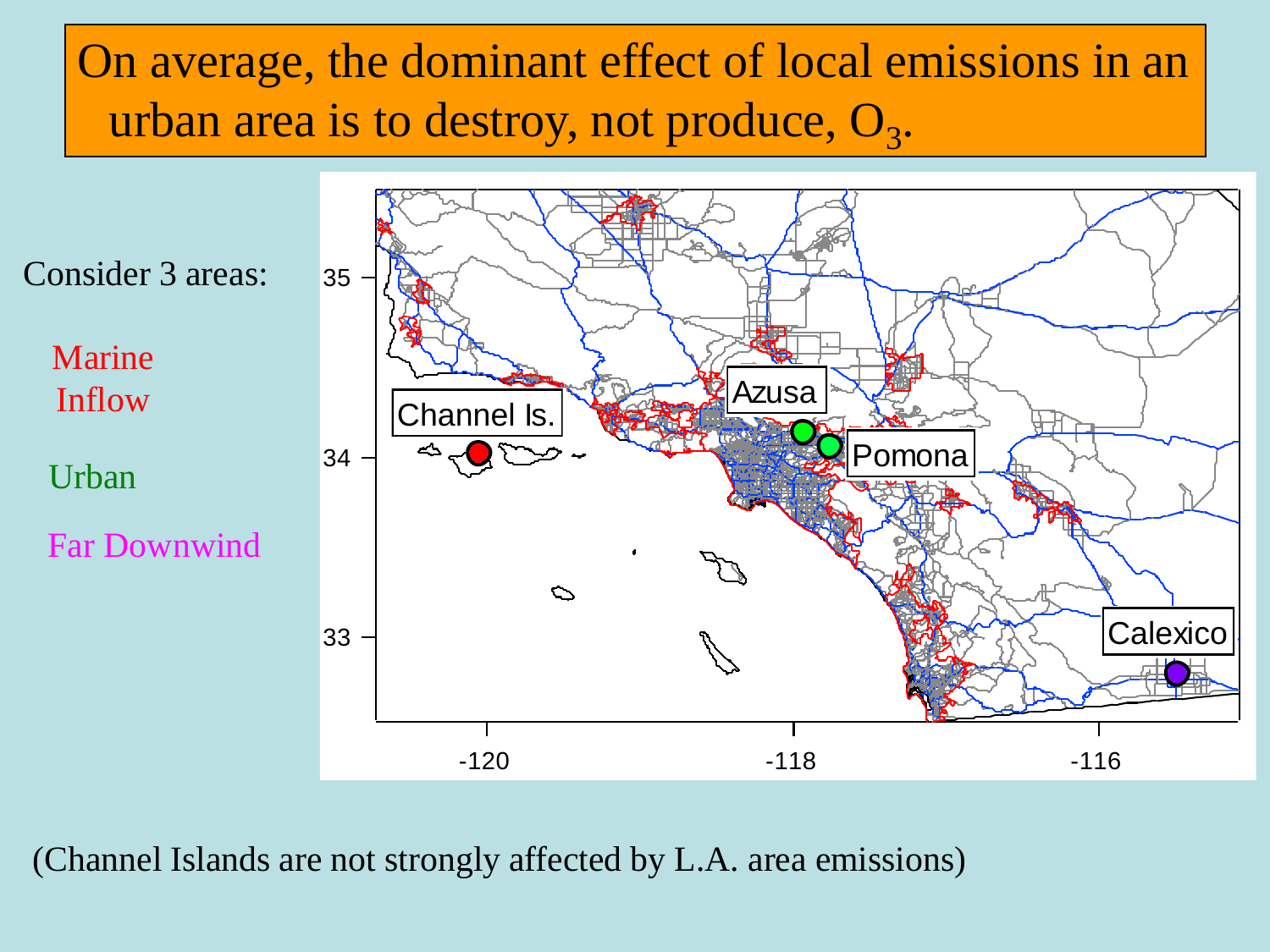

(Channel Islands are not strongly affected by L.A. area emissions)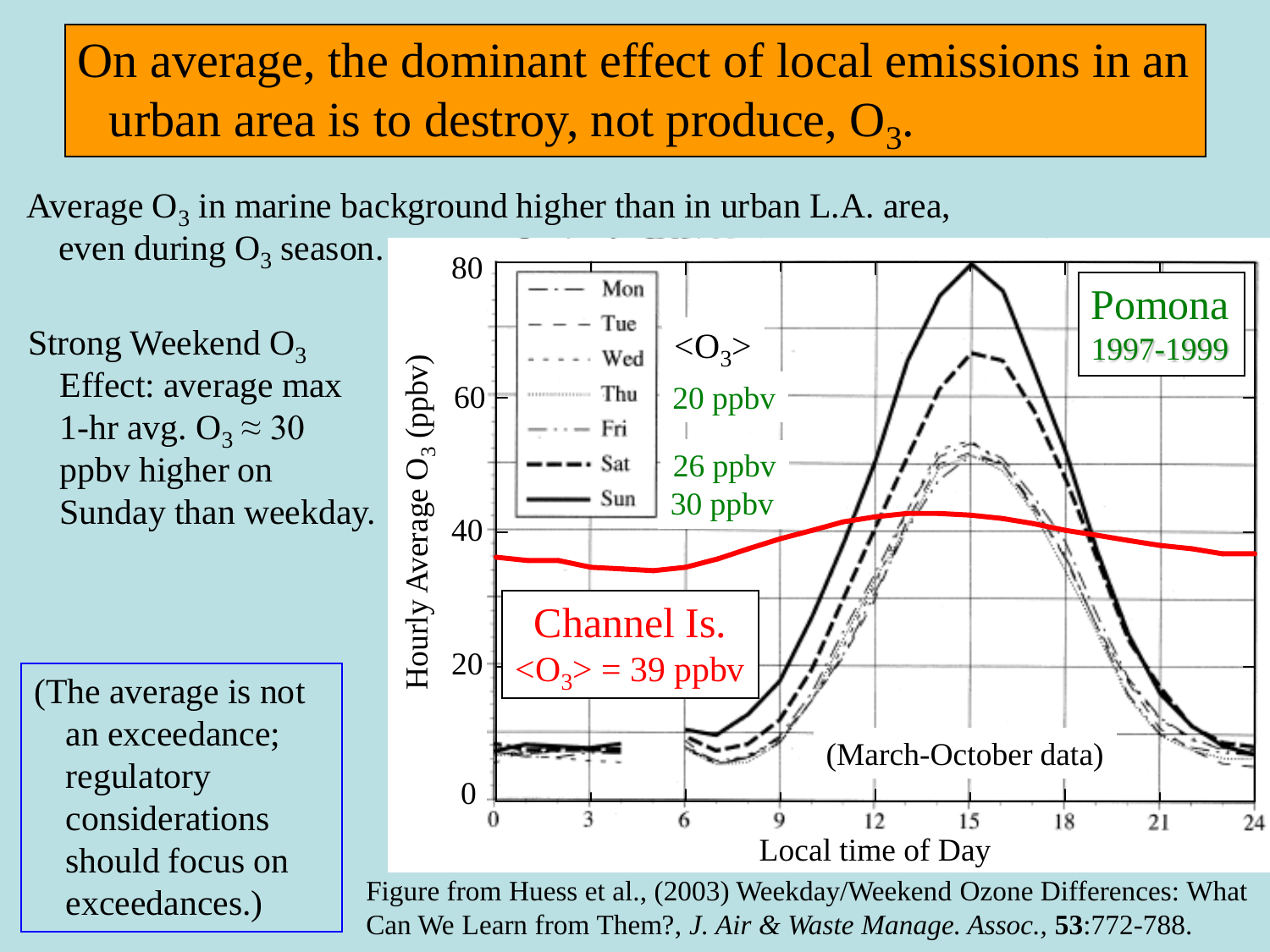80 Average  $O_3$  in marine background higher than in urban L.A. area, even during  $O_3$  season.

Strong Weekend  $O<sub>3</sub>$ Effect: average max 1-hr avg.  $O_3 \approx 30$ ppbv higher on Sunday than weekday.

(The average is not an exceedance; regulatory considerations should focus on exceedances.)



Figure from Huess et al., (2003) Weekday/Weekend Ozone Differences: What Can We Learn from Them?, *J. Air & Waste Manage. Assoc.,* **53**:772-788.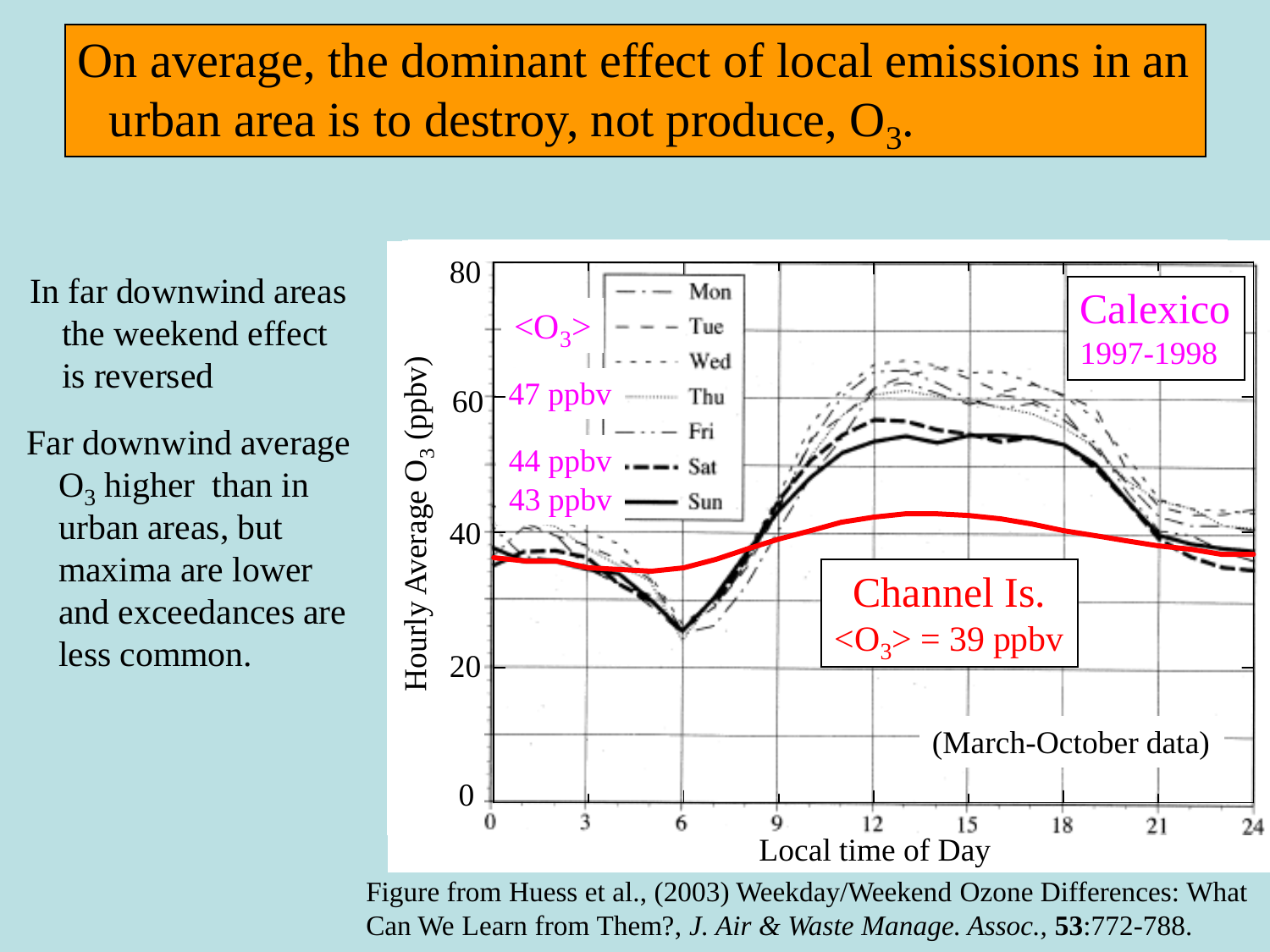In far downwind areas the weekend effect is reversed

Far downwind average  $O_3$  higher than in urban areas, but maxima are lower and exceedances are less common.



Figure from Huess et al., (2003) Weekday/Weekend Ozone Differences: What Can We Learn from Them?, *J. Air & Waste Manage. Assoc.,* **53**:772-788.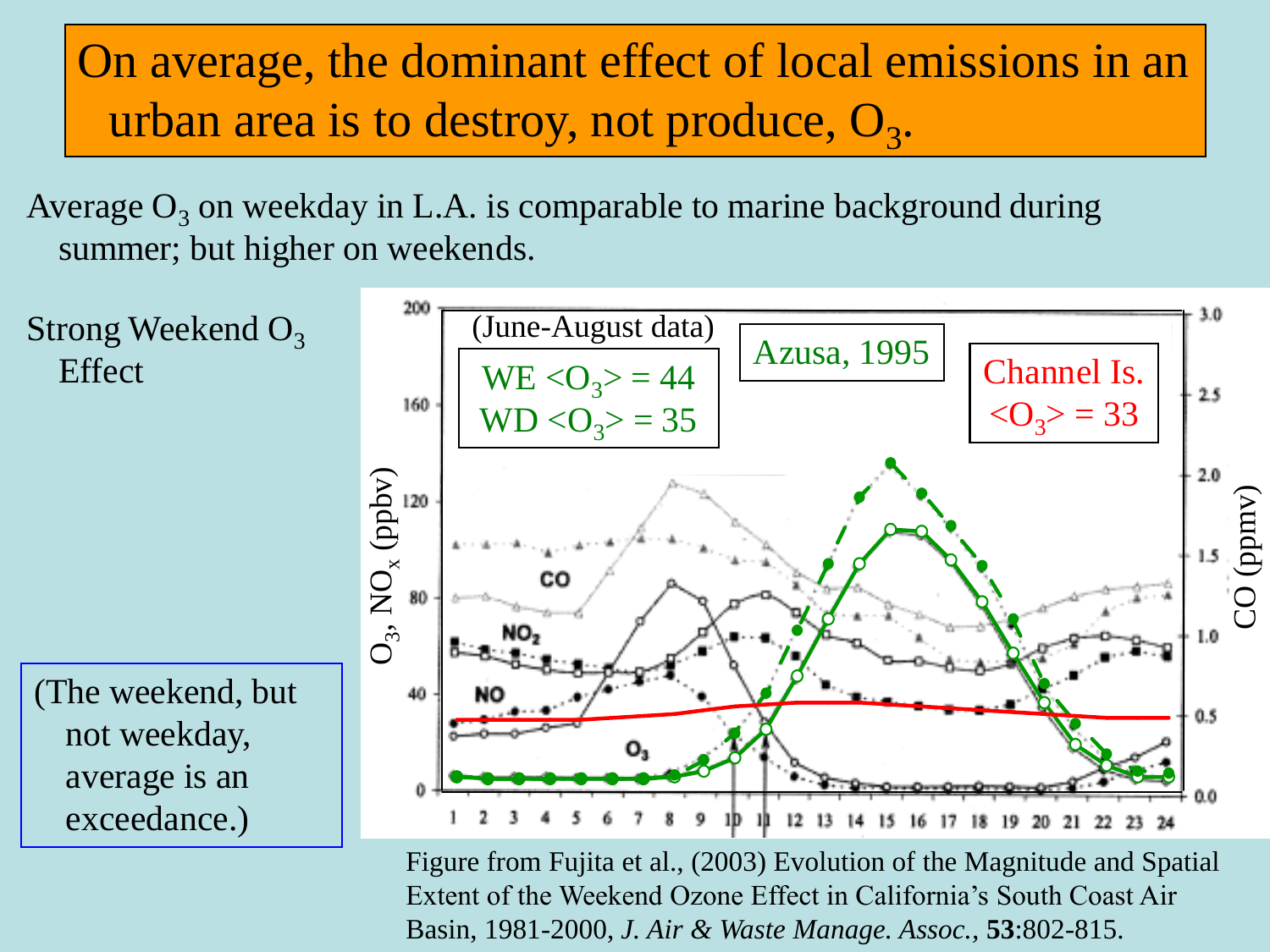Average  $O_3$  on weekday in L.A. is comparable to marine background during summer; but higher on weekends.



Figure from Fujita et al., (2003) Evolution of the Magnitude and Spatial Extent of the Weekend Ozone Effect in California's South Coast Air Basin, 1981-2000, *J. Air & Waste Manage. Assoc.,* **53**:802-815.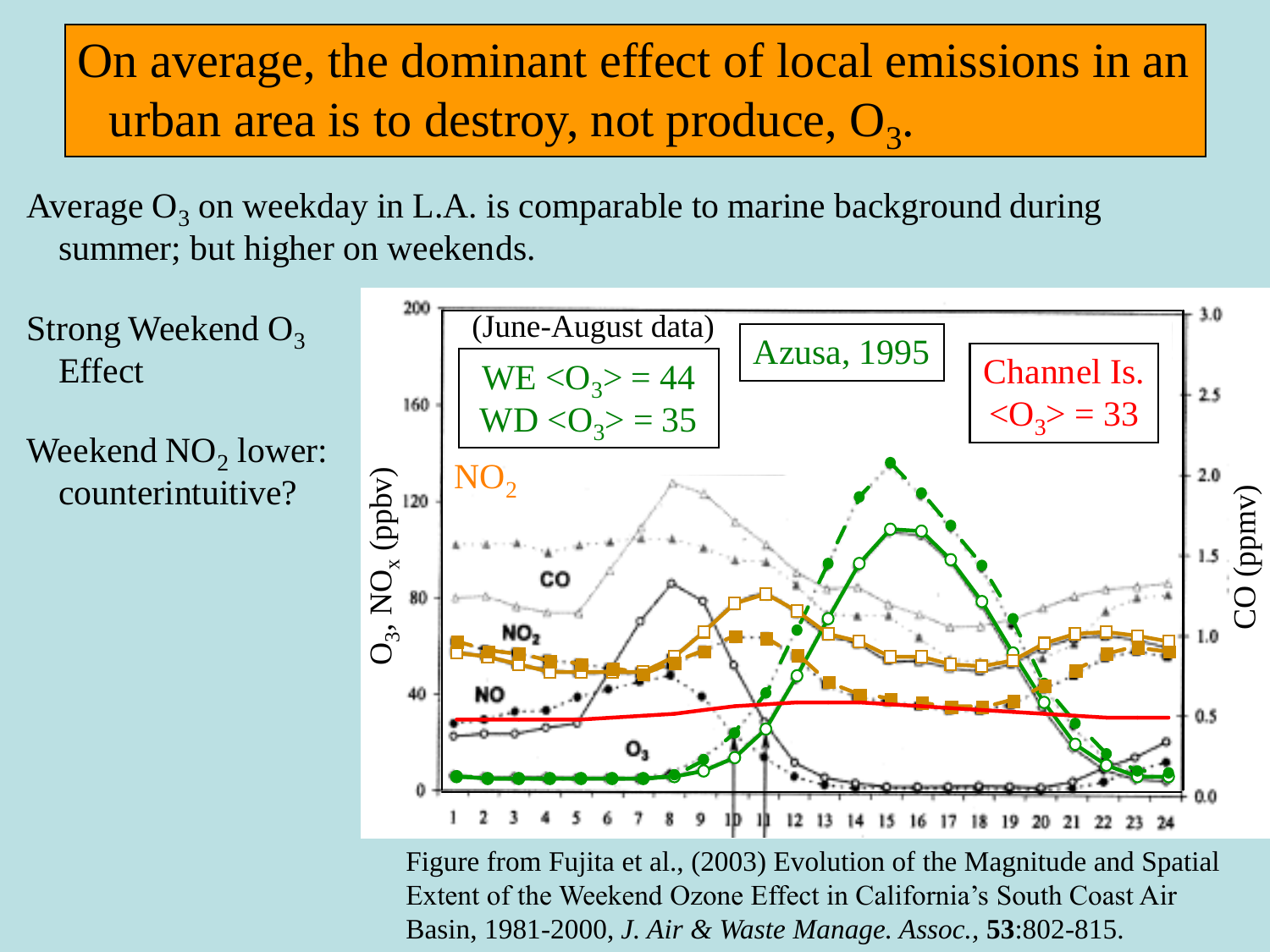Average  $O_3$  on weekday in L.A. is comparable to marine background during summer; but higher on weekends.

Strong Weekend  $O_3$ Effect

Weekend  $NO<sub>2</sub>$  lower: counterintuitive?



Figure from Fujita et al., (2003) Evolution of the Magnitude and Spatial Extent of the Weekend Ozone Effect in California's South Coast Air Basin, 1981-2000, *J. Air & Waste Manage. Assoc.,* **53**:802-815.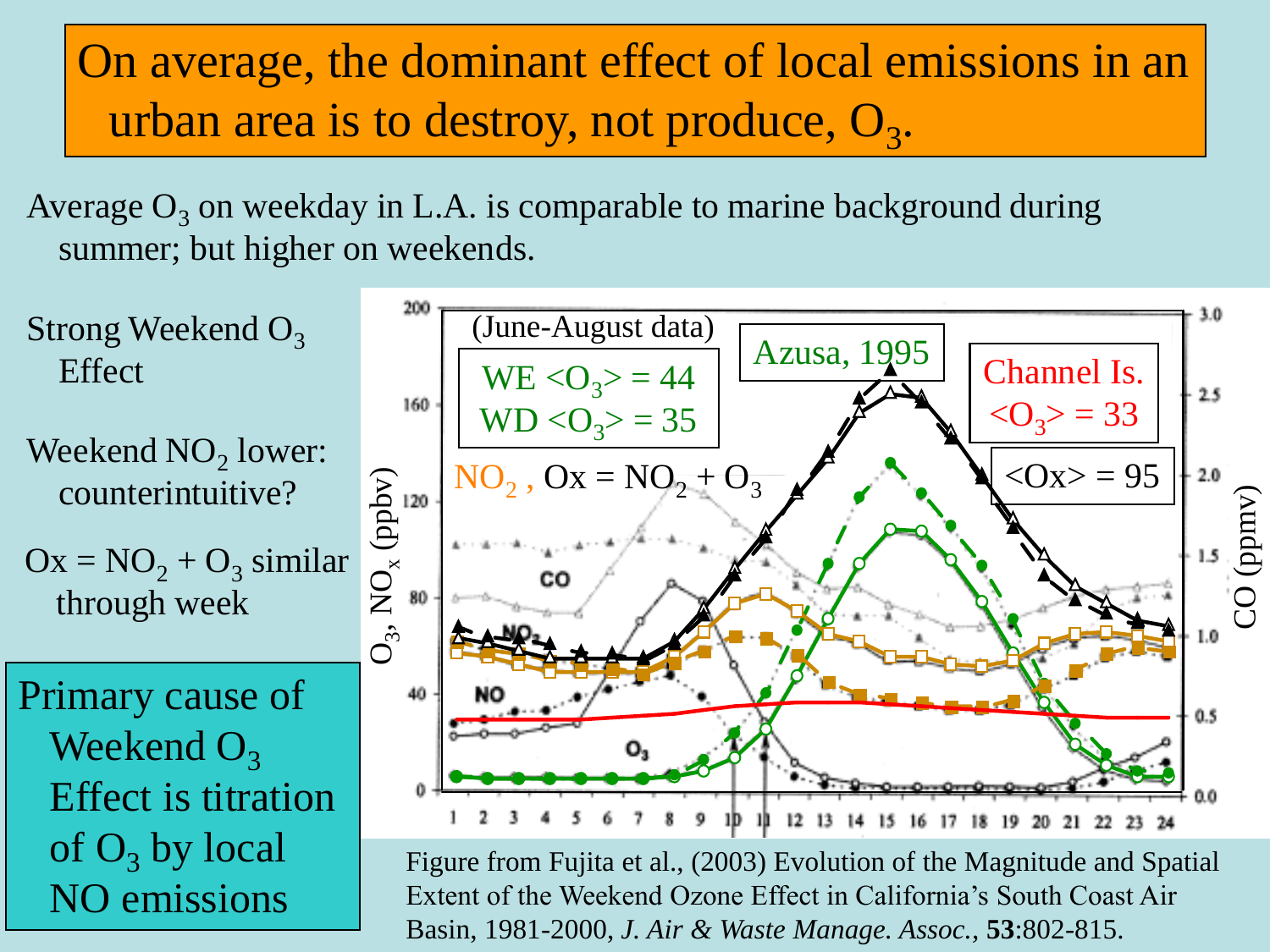Average  $O_3$  on weekday in L.A. is comparable to marine background during summer; but higher on weekends.



Extent of the Weekend Ozone Effect in California's South Coast Air Basin, 1981-2000, *J. Air & Waste Manage. Assoc.,* **53**:802-815.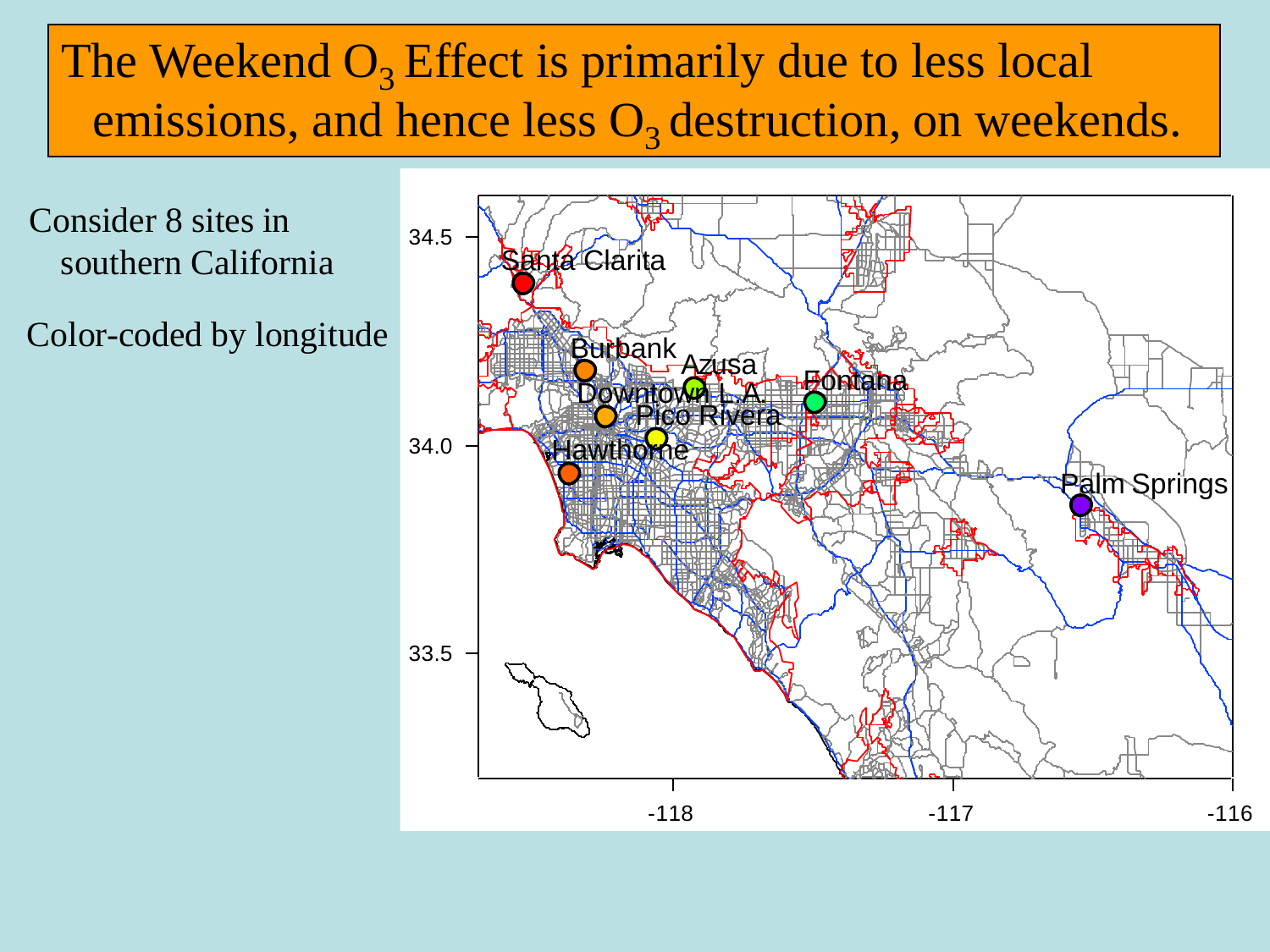#### The Weekend  $O_3$  Effect is primarily due to less local emissions, and hence less  $O_3$  destruction, on weekends.

Consider 8 sites in southern California

Color-coded by longitude

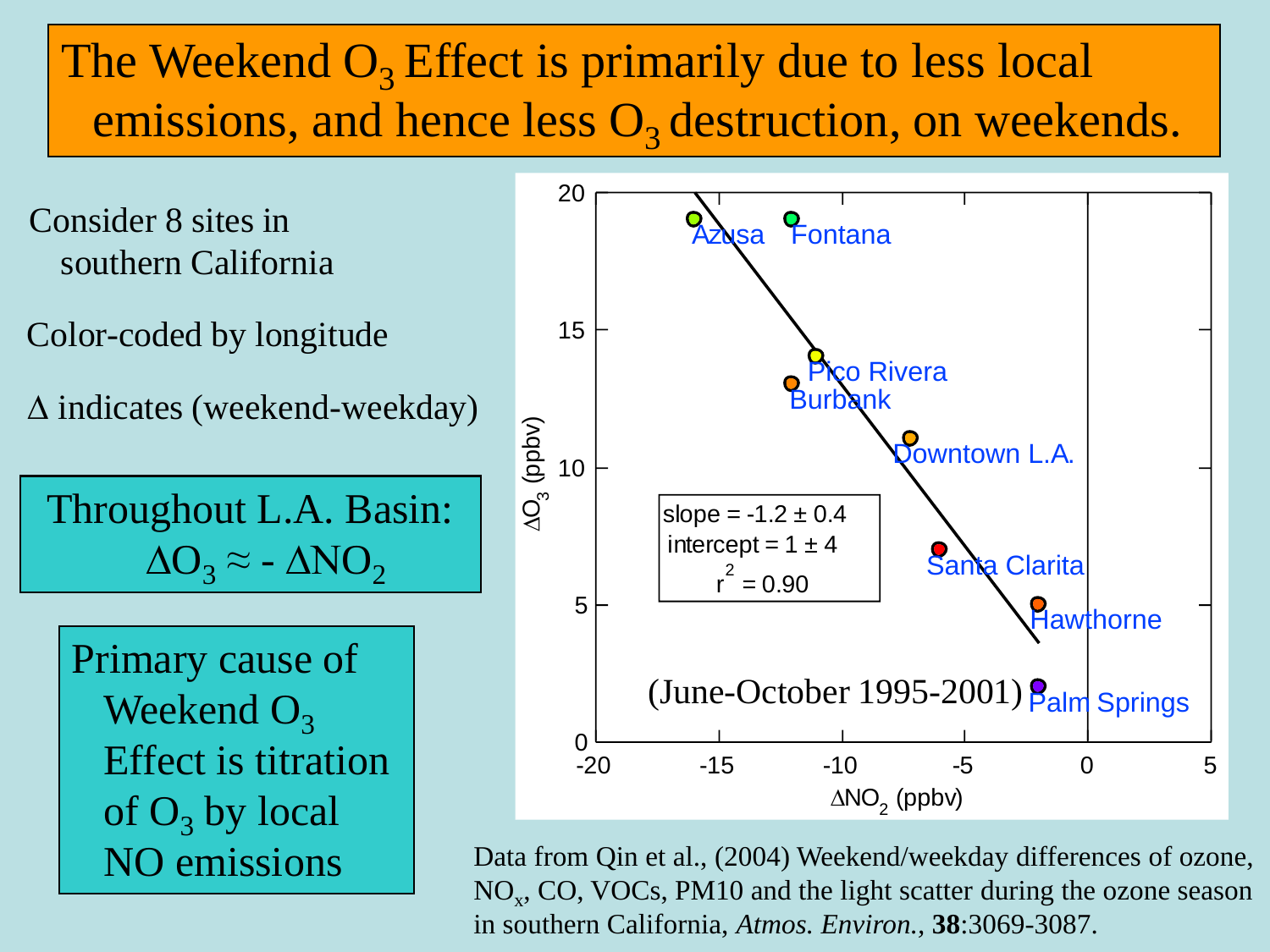#### The Weekend  $O_3$  Effect is primarily due to less local emissions, and hence less  $O_3$  destruction, on weekends.

Consider 8 sites in southern California

Color-coded by longitude

 $\Delta$  indicates (weekend-weekday)

Throughout L.A. Basin:  $\Delta O_3 \approx -\Delta NO_2$ 

Primary cause of Weekend  $O<sub>3</sub>$ Effect is titration of  $O_3$  by local NO emissions



Data from Qin et al., (2004) Weekend/weekday differences of ozone, NO<sub>x</sub>, CO, VOCs, PM10 and the light scatter during the ozone season in southern California, *Atmos. Environ.,* **38**:3069-3087.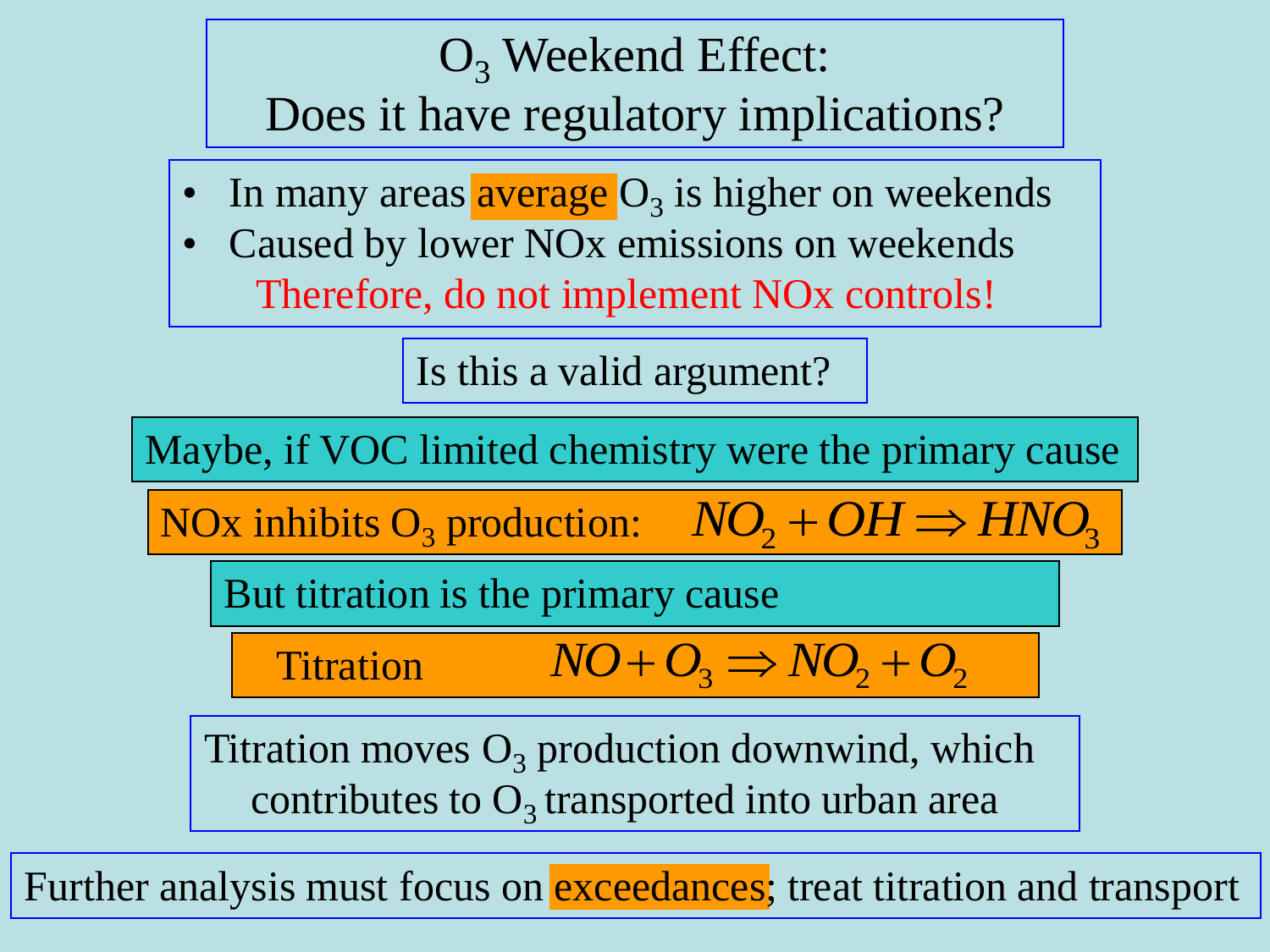#### $O<sub>3</sub>$  Weekend Effect:

Does it have regulatory implications?

- In many areas  $\frac{average}{0_3}$  is higher on weekends
- Caused by lower NO<sub>x</sub> emissions on weekends Therefore, do not implement NOx controls!

Is this a valid argument?

Maybe, if VOC limited chemistry were the primary cause

NOx inhibits  $O_3$  production:  $NO_2 + OH \Rightarrow HNO_3$ 

But titration is the primary cause

**Titration**  $NO + O_3 \Rightarrow NO_2 + O_2$ 

Titration moves  $O_3$  production downwind, which contributes to  $O_3$  transported into urban area

Further analysis must focus on **exceedances**; treat titration and transport